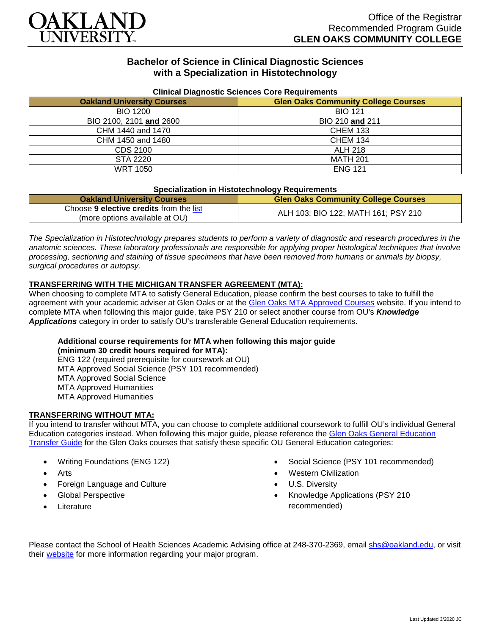

# **Bachelor of Science in Clinical Diagnostic Sciences with a Specialization in Histotechnology**

| Cilincal Diagnostic Sciences Core Requirements |                                            |
|------------------------------------------------|--------------------------------------------|
| <b>Oakland University Courses</b>              | <b>Glen Oaks Community College Courses</b> |
| <b>BIO 1200</b>                                | <b>BIO 121</b>                             |
| BIO 2100, 2101 and 2600                        | BIO 210 and 211                            |
| CHM 1440 and 1470                              | <b>CHEM 133</b>                            |
| CHM 1450 and 1480                              | <b>CHEM 134</b>                            |
| CDS 2100                                       | <b>ALH 218</b>                             |
| STA 2220                                       | <b>MATH 201</b>                            |
| <b>WRT 1050</b>                                | <b>ENG 121</b>                             |

#### **Clinical Diagnostic Sciences Core Requirements**

#### **Specialization in Histotechnology Requirements**

| <b>Oakland University Courses</b>       | <b>Glen Oaks Community College Courses</b> |
|-----------------------------------------|--------------------------------------------|
| Choose 9 elective credits from the list | ALH 103; BIO 122; MATH 161; PSY 210        |
| (more options available at OU)          |                                            |

*The Specialization in Histotechnology prepares students to perform a variety of diagnostic and research procedures in the anatomic sciences. These laboratory professionals are responsible for applying proper histological techniques that involve processing, sectioning and staining of tissue specimens that have been removed from humans or animals by biopsy, surgical procedures or autopsy.*

## **TRANSFERRING WITH THE MICHIGAN TRANSFER AGREEMENT (MTA):**

When choosing to complete MTA to satisfy General Education, please confirm the best courses to take to fulfill the agreement with your academic adviser at Glen Oaks or at the [Glen Oaks MTA Approved Courses](https://www.glenoaks.edu/current-students/registration-records/#MTA) website. If you intend to complete MTA when following this major guide, take PSY 210 or select another course from OU's *Knowledge Applications* category in order to satisfy OU's transferable General Education requirements.

#### **Additional course requirements for MTA when following this major guide**

**(minimum 30 credit hours required for MTA):** ENG 122 (required prerequisite for coursework at OU) MTA Approved Social Science (PSY 101 recommended) MTA Approved Social Science MTA Approved Humanities MTA Approved Humanities

## **TRANSFERRING WITHOUT MTA:**

If you intend to transfer without MTA, you can choose to complete additional coursework to fulfill OU's individual General Education categories instead. When following this major guide, please reference the [Glen Oaks General Education](https://www.oakland.edu/Assets/Oakland/program-guides/glen-oaks-community-college/university-general-education-requirements/Glen%20Oaks%20Gen%20Ed.pdf)  [Transfer Guide](https://www.oakland.edu/Assets/Oakland/program-guides/glen-oaks-community-college/university-general-education-requirements/Glen%20Oaks%20Gen%20Ed.pdf) for the Glen Oaks courses that satisfy these specific OU General Education categories:

- Writing Foundations (ENG 122)
- **Arts**
- Foreign Language and Culture
- Global Perspective
- **Literature**
- Social Science (PSY 101 recommended)
- Western Civilization
- U.S. Diversity
- Knowledge Applications (PSY 210 recommended)

Please contact the School of Health Sciences Academic Advising office at 248-370-2369, email [shs@oakland.edu,](mailto:shs@oakland.edu) or visit their [website](http://www.oakland.edu/shs/advising) for more information regarding your major program.